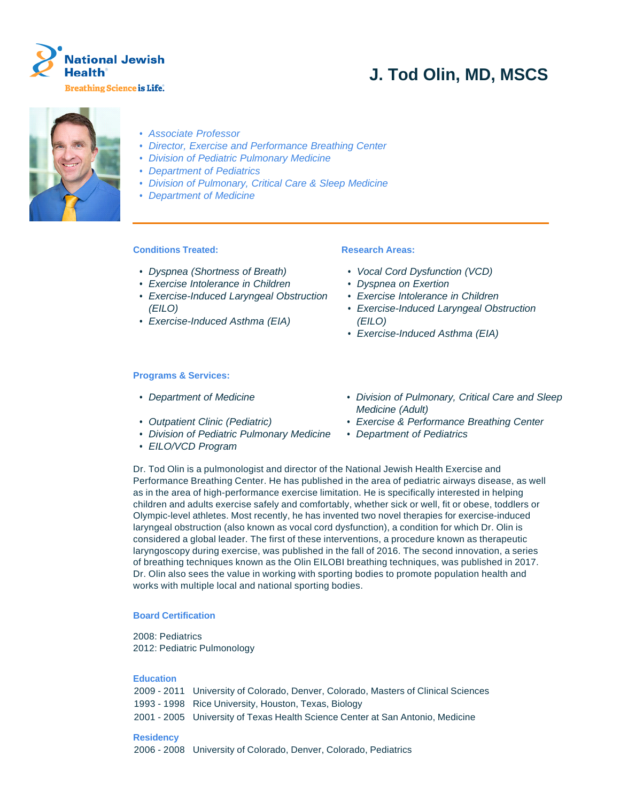

# **J. Tod Olin, MD, MSCS**



- Associate Professor
- Director, Exercise and Performance Breathing Center
- Division of Pediatric Pulmonary Medicine
- Department of Pediatrics
- Division of Pulmonary, Critical Care & Sleep Medicine
- Department of Medicine

# **Conditions Treated:**

- Dyspnea (Shortness of Breath)
- Exercise Intolerance in Children
- Exercise-Induced Laryngeal Obstruction (EILO)
- Exercise-Induced Asthma (EIA)

## **Research Areas:**

- Vocal Cord Dysfunction (VCD)
- Dyspnea on Exertion
- Exercise Intolerance in Children
- Exercise-Induced Laryngeal Obstruction (EILO)
- Exercise-Induced Asthma (EIA)

## **Programs & Services:**

- 
- 
- Division of Pediatric Pulmonary Medicine Department of Pediatrics
- EILO/VCD Program
- Department of Medicine **bivision of Pulmonary, Critical Care and Sleep** Medicine (Adult)
- Outpatient Clinic (Pediatric) Exercise & Performance Breathing Center
	-

Dr. Tod Olin is a pulmonologist and director of the National Jewish Health Exercise and Performance Breathing Center. He has published in the area of pediatric airways disease, as well as in the area of high-performance exercise limitation. He is specifically interested in helping children and adults exercise safely and comfortably, whether sick or well, fit or obese, toddlers or Olympic-level athletes. Most recently, he has invented two novel therapies for exercise-induced laryngeal obstruction (also known as vocal cord dysfunction), a condition for which Dr. Olin is considered a global leader. The first of these interventions, a procedure known as therapeutic laryngoscopy during exercise, was published in the fall of 2016. The second innovation, a series of breathing techniques known as the Olin EILOBI breathing techniques, was published in 2017. Dr. Olin also sees the value in working with sporting bodies to promote population health and works with multiple local and national sporting bodies.

## **Board Certification**

2008: Pediatrics 2012: Pediatric Pulmonology

## **Education**

|                  | 2009 - 2011 University of Colorado, Denver, Colorado, Masters of Clinical Sciences |
|------------------|------------------------------------------------------------------------------------|
|                  | 1993 - 1998 Rice University, Houston, Texas, Biology                               |
|                  | 2001 - 2005 University of Texas Health Science Center at San Antonio, Medicine     |
| <b>Residency</b> | 2006 - 2008 University of Colorado, Denver, Colorado, Pediatrics                   |